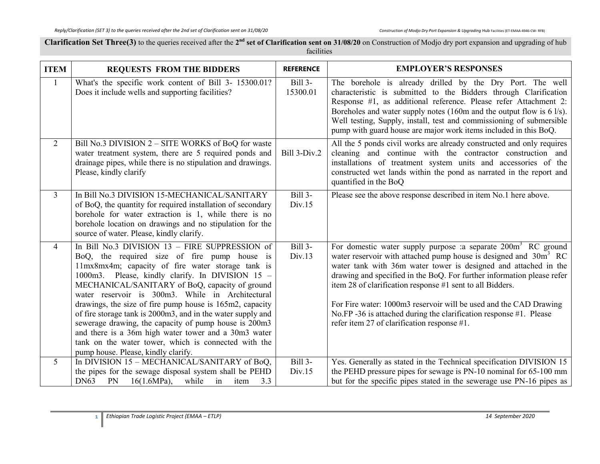Clarification Set Three(3) to the queries received after the 2<sup>nd</sup> set of Clarification sent on 31/08/20 on Construction of Modjo dry port expansion and upgrading of hub facilities

| <b>ITEM</b>    | <b>REQUESTS FROM THE BIDDERS</b>                                                                                                                                                                                                                                                                                                                                                                                                                                                                                                                                                                                                                         | <b>REFERENCE</b>         | <b>EMPLOYER'S RESPONSES</b>                                                                                                                                                                                                                                                                                                                                                                                                                                                                                                                             |
|----------------|----------------------------------------------------------------------------------------------------------------------------------------------------------------------------------------------------------------------------------------------------------------------------------------------------------------------------------------------------------------------------------------------------------------------------------------------------------------------------------------------------------------------------------------------------------------------------------------------------------------------------------------------------------|--------------------------|---------------------------------------------------------------------------------------------------------------------------------------------------------------------------------------------------------------------------------------------------------------------------------------------------------------------------------------------------------------------------------------------------------------------------------------------------------------------------------------------------------------------------------------------------------|
|                | What's the specific work content of Bill 3- 15300.01?<br>Does it include wells and supporting facilities?                                                                                                                                                                                                                                                                                                                                                                                                                                                                                                                                                | Bill 3-<br>15300.01      | The borehole is already drilled by the Dry Port. The well<br>characteristic is submitted to the Bidders through Clarification<br>Response #1, as additional reference. Please refer Attachment 2:<br>Boreholes and water supply notes (160m and the output flow is $6 \text{ l/s}$ ).<br>Well testing, Supply, install, test and commissioning of submersible<br>pump with guard house are major work items included in this BoQ.                                                                                                                       |
| $\overline{2}$ | Bill No.3 DIVISION 2 – SITE WORKS of BoQ for waste<br>water treatment system, there are 5 required ponds and<br>drainage pipes, while there is no stipulation and drawings.<br>Please, kindly clarify                                                                                                                                                                                                                                                                                                                                                                                                                                                    | Bill 3-Div.2             | All the 5 ponds civil works are already constructed and only requires<br>cleaning and continue with the contractor construction and<br>installations of treatment system units and accessories of the<br>constructed wet lands within the pond as narrated in the report and<br>quantified in the BoQ                                                                                                                                                                                                                                                   |
| $\overline{3}$ | In Bill No.3 DIVISION 15-MECHANICAL/SANITARY<br>of BoQ, the quantity for required installation of secondary<br>borehole for water extraction is 1, while there is no<br>borehole location on drawings and no stipulation for the<br>source of water. Please, kindly clarify.                                                                                                                                                                                                                                                                                                                                                                             | <b>Bill 3-</b><br>Div.15 | Please see the above response described in item No.1 here above.                                                                                                                                                                                                                                                                                                                                                                                                                                                                                        |
| $\overline{4}$ | In Bill No.3 DIVISION 13 - FIRE SUPPRESSION of<br>BoQ, the required size of fire pump house is<br>11mx8mx4m; capacity of fire water storage tank is<br>1000m3. Please, kindly clarify. In DIVISION 15 -<br>MECHANICAL/SANITARY of BoQ, capacity of ground<br>water reservoir is 300m3. While in Architectural<br>drawings, the size of fire pump house is 165m2, capacity<br>of fire storage tank is 2000m3, and in the water supply and<br>sewerage drawing, the capacity of pump house is 200m3<br>and there is a 36m high water tower and a 30m3 water<br>tank on the water tower, which is connected with the<br>pump house. Please, kindly clarify. | Bill 3-<br>Div.13        | For domestic water supply purpose : a separate 200m <sup>3</sup> RC ground<br>water reservoir with attached pump house is designed and $30m3 RC$<br>water tank with 36m water tower is designed and attached in the<br>drawing and specified in the BoQ. For further information please refer<br>item 28 of clarification response #1 sent to all Bidders.<br>For Fire water: 1000m3 reservoir will be used and the CAD Drawing<br>No.FP -36 is attached during the clarification response #1. Please<br>refer item 27 of clarification response $#1$ . |
| 5              | In DIVISION 15 - MECHANICAL/SANITARY of BoQ,<br>the pipes for the sewage disposal system shall be PEHD<br>DN63<br>PN<br>$16(1.6MPa)$ ,<br>3.3<br>while<br>in<br>item                                                                                                                                                                                                                                                                                                                                                                                                                                                                                     | Bill 3-<br>Div.15        | Yes. Generally as stated in the Technical specification DIVISION 15<br>the PEHD pressure pipes for sewage is PN-10 nominal for 65-100 mm<br>but for the specific pipes stated in the sewerage use PN-16 pipes as                                                                                                                                                                                                                                                                                                                                        |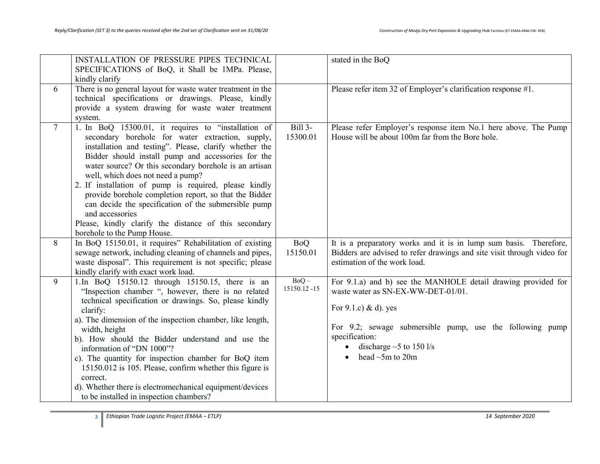|                | INSTALLATION OF PRESSURE PIPES TECHNICAL                                                                                                                                                                                                                                                                                                                                                                                                                                                                                                                                                                     |                         | stated in the BoQ                                                                                                                                                                                                                                                        |
|----------------|--------------------------------------------------------------------------------------------------------------------------------------------------------------------------------------------------------------------------------------------------------------------------------------------------------------------------------------------------------------------------------------------------------------------------------------------------------------------------------------------------------------------------------------------------------------------------------------------------------------|-------------------------|--------------------------------------------------------------------------------------------------------------------------------------------------------------------------------------------------------------------------------------------------------------------------|
|                | SPECIFICATIONS of BoQ, it Shall be 1MPa. Please,                                                                                                                                                                                                                                                                                                                                                                                                                                                                                                                                                             |                         |                                                                                                                                                                                                                                                                          |
|                | kindly clarify                                                                                                                                                                                                                                                                                                                                                                                                                                                                                                                                                                                               |                         |                                                                                                                                                                                                                                                                          |
| 6              | There is no general layout for waste water treatment in the<br>technical specifications or drawings. Please, kindly<br>provide a system drawing for waste water treatment<br>system.                                                                                                                                                                                                                                                                                                                                                                                                                         |                         | Please refer item 32 of Employer's clarification response #1.                                                                                                                                                                                                            |
| $\overline{7}$ | 1. In BoQ 15300.01, it requires to "installation of<br>secondary borehole for water extraction, supply,<br>installation and testing". Please, clarify whether the<br>Bidder should install pump and accessories for the<br>water source? Or this secondary borehole is an artisan<br>well, which does not need a pump?<br>2. If installation of pump is required, please kindly<br>provide borehole completion report, so that the Bidder<br>can decide the specification of the submersible pump<br>and accessories<br>Please, kindly clarify the distance of this secondary<br>borehole to the Pump House. | Bill 3-<br>15300.01     | Please refer Employer's response item No.1 here above. The Pump<br>House will be about 100m far from the Bore hole.                                                                                                                                                      |
| 8              | In BoQ 15150.01, it requires" Rehabilitation of existing<br>sewage network, including cleaning of channels and pipes,<br>waste disposal". This requirement is not specific; please<br>kindly clarify with exact work load.                                                                                                                                                                                                                                                                                                                                                                                   | <b>BoQ</b><br>15150.01  | It is a preparatory works and it is in lump sum basis. Therefore,<br>Bidders are advised to refer drawings and site visit through video for<br>estimation of the work load.                                                                                              |
| 9              | 1. In BoQ 15150.12 through 15150.15, there is an<br>"Inspection chamber ", however, there is no related<br>technical specification or drawings. So, please kindly<br>clarify:<br>a). The dimension of the inspection chamber, like length,<br>width, height<br>b). How should the Bidder understand and use the<br>information of "DN 1000"?<br>c). The quantity for inspection chamber for BoQ item<br>15150.012 is 105. Please, confirm whether this figure is<br>correct.<br>d). Whether there is electromechanical equipment/devices<br>to be installed in inspection chambers?                          | $BoQ -$<br>15150.12 -15 | For 9.1.a) and b) see the MANHOLE detail drawing provided for<br>waste water as SN-EX-WW-DET-01/01.<br>For $9.1.c$ ) & d). yes<br>For 9.2; sewage submersible pump, use the following pump<br>specification:<br>• discharge $\sim$ 5 to 150 l/s<br>head $\sim$ 5m to 20m |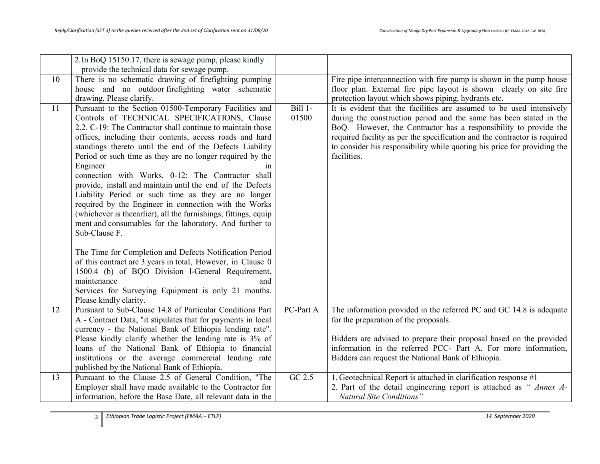|    | 2. In BoQ 15150.17, there is sewage pump, please kindly<br>provide the technical data for sewage pump.                                                                                                                                                                                                                                                                                                                                                                                                                                                                                                                                                                                                                                                         |                    |                                                                                                                                                                                                                                                                                                                                                                                        |
|----|----------------------------------------------------------------------------------------------------------------------------------------------------------------------------------------------------------------------------------------------------------------------------------------------------------------------------------------------------------------------------------------------------------------------------------------------------------------------------------------------------------------------------------------------------------------------------------------------------------------------------------------------------------------------------------------------------------------------------------------------------------------|--------------------|----------------------------------------------------------------------------------------------------------------------------------------------------------------------------------------------------------------------------------------------------------------------------------------------------------------------------------------------------------------------------------------|
| 10 | There is no schematic drawing of firefighting pumping<br>house and no outdoor firefighting water schematic                                                                                                                                                                                                                                                                                                                                                                                                                                                                                                                                                                                                                                                     |                    | Fire pipe interconnection with fire pump is shown in the pump house<br>floor plan. External fire pipe layout is shown clearly on site fire                                                                                                                                                                                                                                             |
|    | drawing. Please clarify.                                                                                                                                                                                                                                                                                                                                                                                                                                                                                                                                                                                                                                                                                                                                       |                    | protection layout which shows piping, hydrants etc.                                                                                                                                                                                                                                                                                                                                    |
| 11 | Pursuant to the Section 01500-Temporary Facilities and<br>Controls of TECHNICAL SPECIFICATIONS, Clause<br>2.2. C-19: The Contractor shall continue to maintain those<br>offices, including their contents, access roads and hard<br>standings thereto until the end of the Defects Liability<br>Period or such time as they are no longer required by the<br>Engineer<br>1n<br>connection with Works, 0-12: The Contractor shall<br>provide, install and maintain until the end of the Defects<br>Liability Period or such time as they are no longer<br>required by the Engineer in connection with the Works<br>(whichever is the earlier), all the furnishings, fittings, equip<br>ment and consumables for the laboratory. And further to<br>Sub-Clause F. | $Bill$ 1-<br>01500 | It is evident that the facilities are assumed to be used intensively<br>during the construction period and the same has been stated in the<br>BoQ. However, the Contractor has a responsibility to provide the<br>required facility as per the specification and the contractor is required<br>to consider his responsibility while quoting his price for providing the<br>facilities. |
|    | The Time for Completion and Defects Notification Period<br>of this contract are 3 years in total, However, in Clause 0<br>1500.4 (b) of BQO Division 1-General Requirement,<br>maintenance<br>and<br>Services for Surveying Equipment is only 21 months.                                                                                                                                                                                                                                                                                                                                                                                                                                                                                                       |                    |                                                                                                                                                                                                                                                                                                                                                                                        |
| 12 | Please kindly clarity.<br>Pursuant to Sub-Clause 14.8 of Particular Conditions Part<br>A - Contract Data, "it stipulates that for payments in local<br>currency - the National Bank of Ethiopia lending rate".                                                                                                                                                                                                                                                                                                                                                                                                                                                                                                                                                 | PC-Part A          | The information provided in the referred PC and GC 14.8 is adequate<br>for the preparation of the proposals.                                                                                                                                                                                                                                                                           |
|    | Please kindly clarify whether the lending rate is 3% of<br>loans of the National Bank of Ethiopia to financial<br>institutions or the average commercial lending rate<br>published by the National Bank of Ethiopia.                                                                                                                                                                                                                                                                                                                                                                                                                                                                                                                                           |                    | Bidders are advised to prepare their proposal based on the provided<br>information in the referred PCC- Part A. For more information,<br>Bidders can request the National Bank of Ethiopia.                                                                                                                                                                                            |
| 13 | Pursuant to the Clause 2.5 of General Condition, "The<br>Employer shall have made available to the Contractor for<br>information, before the Base Date, all relevant data in the                                                                                                                                                                                                                                                                                                                                                                                                                                                                                                                                                                               | GC 2.5             | 1. Geotechnical Report is attached in clarification response #1<br>2. Part of the detail engineering report is attached as "Annex A-<br><b>Natural Site Conditions"</b>                                                                                                                                                                                                                |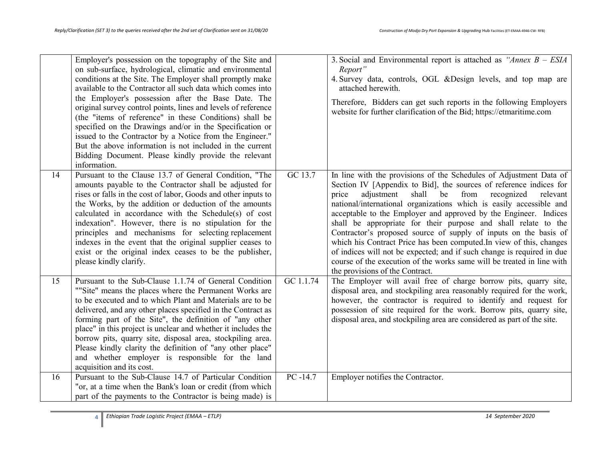|    | Employer's possession on the topography of the Site and<br>on sub-surface, hydrological, climatic and environmental<br>conditions at the Site. The Employer shall promptly make<br>available to the Contractor all such data which comes into<br>the Employer's possession after the Base Date. The<br>original survey control points, lines and levels of reference<br>(the "items of reference" in these Conditions) shall be<br>specified on the Drawings and/or in the Specification or<br>issued to the Contractor by a Notice from the Engineer."<br>But the above information is not included in the current<br>Bidding Document. Please kindly provide the relevant<br>information. |             | 3. Social and Environmental report is attached as "Annex $B - ESIA$<br>Report"<br>4. Survey data, controls, OGL & Design levels, and top map are<br>attached herewith.<br>Therefore, Bidders can get such reports in the following Employers<br>website for further clarification of the Bid; https://etmaritime.com                                                                                                                                                                                                                                                                                                                                                                                                                                             |
|----|---------------------------------------------------------------------------------------------------------------------------------------------------------------------------------------------------------------------------------------------------------------------------------------------------------------------------------------------------------------------------------------------------------------------------------------------------------------------------------------------------------------------------------------------------------------------------------------------------------------------------------------------------------------------------------------------|-------------|------------------------------------------------------------------------------------------------------------------------------------------------------------------------------------------------------------------------------------------------------------------------------------------------------------------------------------------------------------------------------------------------------------------------------------------------------------------------------------------------------------------------------------------------------------------------------------------------------------------------------------------------------------------------------------------------------------------------------------------------------------------|
| 14 | Pursuant to the Clause 13.7 of General Condition, "The<br>amounts payable to the Contractor shall be adjusted for<br>rises or falls in the cost of labor, Goods and other inputs to<br>the Works, by the addition or deduction of the amounts<br>calculated in accordance with the Schedule(s) of cost<br>indexation". However, there is no stipulation for the<br>principles and mechanisms for selecting replacement<br>indexes in the event that the original supplier ceases to<br>exist or the original index ceases to be the publisher,<br>please kindly clarify.                                                                                                                    | GC 13.7     | In line with the provisions of the Schedules of Adjustment Data of<br>Section IV [Appendix to Bid], the sources of reference indices for<br>adjustment<br>shall<br>be<br>from<br>recognized<br>relevant<br>price<br>national/international organizations which is easily accessible and<br>acceptable to the Employer and approved by the Engineer. Indices<br>shall be appropriate for their purpose and shall relate to the<br>Contractor's proposed source of supply of inputs on the basis of<br>which his Contract Price has been computed. In view of this, changes<br>of indices will not be expected; and if such change is required in due<br>course of the execution of the works same will be treated in line with<br>the provisions of the Contract. |
| 15 | Pursuant to the Sub-Clause 1.1.74 of General Condition<br>""Site" means the places where the Permanent Works are<br>to be executed and to which Plant and Materials are to be<br>delivered, and any other places specified in the Contract as<br>forming part of the Site", the definition of "any other<br>place" in this project is unclear and whether it includes the<br>borrow pits, quarry site, disposal area, stockpiling area.<br>Please kindly clarity the definition of "any other place"<br>and whether employer is responsible for the land<br>acquisition and its cost.                                                                                                       | GC 1.1.74   | The Employer will avail free of charge borrow pits, quarry site,<br>disposal area, and stockpiling area reasonably required for the work,<br>however, the contractor is required to identify and request for<br>possession of site required for the work. Borrow pits, quarry site,<br>disposal area, and stockpiling area are considered as part of the site.                                                                                                                                                                                                                                                                                                                                                                                                   |
| 16 | Pursuant to the Sub-Clause 14.7 of Particular Condition<br>"or, at a time when the Bank's loan or credit (from which<br>part of the payments to the Contractor is being made) is                                                                                                                                                                                                                                                                                                                                                                                                                                                                                                            | $PC - 14.7$ | Employer notifies the Contractor.                                                                                                                                                                                                                                                                                                                                                                                                                                                                                                                                                                                                                                                                                                                                |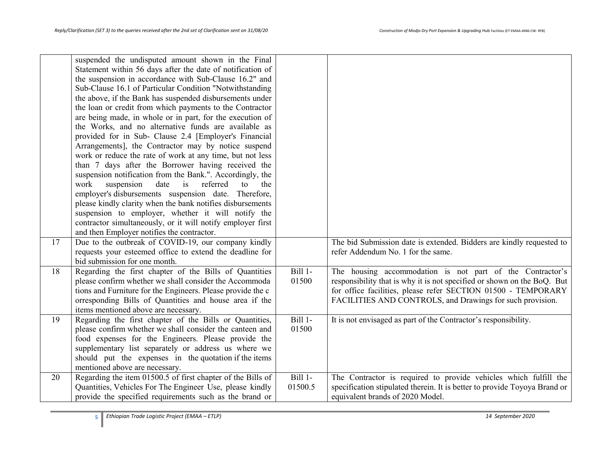|    | suspended the undisputed amount shown in the Final<br>Statement within 56 days after the date of notification of<br>the suspension in accordance with Sub-Clause 16.2" and<br>Sub-Clause 16.1 of Particular Condition "Notwithstanding<br>the above, if the Bank has suspended disbursements under<br>the loan or credit from which payments to the Contractor<br>are being made, in whole or in part, for the execution of<br>the Works, and no alternative funds are available as<br>provided for in Sub- Clause 2.4 [Employer's Financial<br>Arrangements], the Contractor may by notice suspend<br>work or reduce the rate of work at any time, but not less<br>than 7 days after the Borrower having received the<br>suspension notification from the Bank.". Accordingly, the<br>work<br>suspension<br>date<br>is<br>referred<br>the<br>to<br>employer's disbursements suspension date. Therefore,<br>please kindly clarity when the bank notifies disbursements<br>suspension to employer, whether it will notify the<br>contractor simultaneously, or it will notify employer first |                    |                                                                                                                                                                                                                                                                    |
|----|---------------------------------------------------------------------------------------------------------------------------------------------------------------------------------------------------------------------------------------------------------------------------------------------------------------------------------------------------------------------------------------------------------------------------------------------------------------------------------------------------------------------------------------------------------------------------------------------------------------------------------------------------------------------------------------------------------------------------------------------------------------------------------------------------------------------------------------------------------------------------------------------------------------------------------------------------------------------------------------------------------------------------------------------------------------------------------------------|--------------------|--------------------------------------------------------------------------------------------------------------------------------------------------------------------------------------------------------------------------------------------------------------------|
|    | and then Employer notifies the contractor.                                                                                                                                                                                                                                                                                                                                                                                                                                                                                                                                                                                                                                                                                                                                                                                                                                                                                                                                                                                                                                                  |                    |                                                                                                                                                                                                                                                                    |
| 17 | Due to the outbreak of COVID-19, our company kindly<br>requests your esteemed office to extend the deadline for<br>bid submission for one month.                                                                                                                                                                                                                                                                                                                                                                                                                                                                                                                                                                                                                                                                                                                                                                                                                                                                                                                                            |                    | The bid Submission date is extended. Bidders are kindly requested to<br>refer Addendum No. 1 for the same.                                                                                                                                                         |
| 18 | Regarding the first chapter of the Bills of Quantities<br>please confirm whether we shall consider the Accommoda<br>tions and Furniture for the Engineers. Please provide the c<br>orresponding Bills of Quantities and house area if the<br>items mentioned above are necessary.                                                                                                                                                                                                                                                                                                                                                                                                                                                                                                                                                                                                                                                                                                                                                                                                           | Bill 1-<br>01500   | The housing accommodation is not part of the Contractor's<br>responsibility that is why it is not specified or shown on the BoQ. But<br>for office facilities, please refer SECTION 01500 - TEMPORARY<br>FACILITIES AND CONTROLS, and Drawings for such provision. |
| 19 | Regarding the first chapter of the Bills or Quantities,<br>please confirm whether we shall consider the canteen and<br>food expenses for the Engineers. Please provide the<br>supplementary list separately or address us where we<br>should put the expenses in the quotation if the items<br>mentioned above are necessary.                                                                                                                                                                                                                                                                                                                                                                                                                                                                                                                                                                                                                                                                                                                                                               | Bill 1-<br>01500   | It is not envisaged as part of the Contractor's responsibility.                                                                                                                                                                                                    |
| 20 | Regarding the item 01500.5 of first chapter of the Bills of<br>Quantities, Vehicles For The Engineer Use, please kindly<br>provide the specified requirements such as the brand or                                                                                                                                                                                                                                                                                                                                                                                                                                                                                                                                                                                                                                                                                                                                                                                                                                                                                                          | Bill 1-<br>01500.5 | The Contractor is required to provide vehicles which fulfill the<br>specification stipulated therein. It is better to provide Toyoya Brand or<br>equivalent brands of 2020 Model.                                                                                  |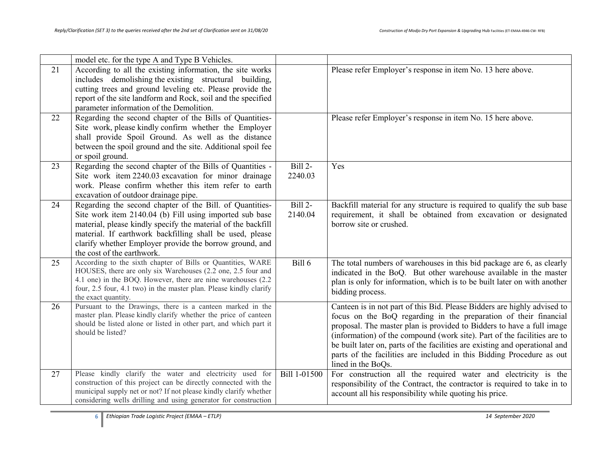|    | model etc. for the type A and Type B Vehicles.                                                                                                                                                                                                                                                                                           |                     |                                                                                                                                                                                                                                                                                                                                                                                                                                                                                 |
|----|------------------------------------------------------------------------------------------------------------------------------------------------------------------------------------------------------------------------------------------------------------------------------------------------------------------------------------------|---------------------|---------------------------------------------------------------------------------------------------------------------------------------------------------------------------------------------------------------------------------------------------------------------------------------------------------------------------------------------------------------------------------------------------------------------------------------------------------------------------------|
| 21 | According to all the existing information, the site works<br>includes demolishing the existing structural building,<br>cutting trees and ground leveling etc. Please provide the<br>report of the site landform and Rock, soil and the specified<br>parameter information of the Demolition.                                             |                     | Please refer Employer's response in item No. 13 here above.                                                                                                                                                                                                                                                                                                                                                                                                                     |
| 22 | Regarding the second chapter of the Bills of Quantities-<br>Site work, please kindly confirm whether the Employer<br>shall provide Spoil Ground. As well as the distance<br>between the spoil ground and the site. Additional spoil fee<br>or spoil ground.                                                                              |                     | Please refer Employer's response in item No. 15 here above.                                                                                                                                                                                                                                                                                                                                                                                                                     |
| 23 | Regarding the second chapter of the Bills of Quantities -<br>Site work item 2240.03 excavation for minor drainage<br>work. Please confirm whether this item refer to earth<br>excavation of outdoor drainage pipe.                                                                                                                       | Bill 2-<br>2240.03  | Yes                                                                                                                                                                                                                                                                                                                                                                                                                                                                             |
| 24 | Regarding the second chapter of the Bill. of Quantities-<br>Site work item 2140.04 (b) Fill using imported sub base<br>material, please kindly specify the material of the backfill<br>material. If earthwork backfilling shall be used, please<br>clarify whether Employer provide the borrow ground, and<br>the cost of the earthwork. | $Bill2-$<br>2140.04 | Backfill material for any structure is required to qualify the sub base<br>requirement, it shall be obtained from excavation or designated<br>borrow site or crushed.                                                                                                                                                                                                                                                                                                           |
| 25 | According to the sixth chapter of Bills or Quantities, WARE<br>HOUSES, there are only six Warehouses (2.2 one, 2.5 four and<br>4.1 one) in the BOQ. However, there are nine warehouses (2.2<br>four, 2.5 four, 4.1 two) in the master plan. Please kindly clarify<br>the exact quantity.                                                 | Bill $6$            | The total numbers of warehouses in this bid package are 6, as clearly<br>indicated in the BoQ. But other warehouse available in the master<br>plan is only for information, which is to be built later on with another<br>bidding process.                                                                                                                                                                                                                                      |
| 26 | Pursuant to the Drawings, there is a canteen marked in the<br>master plan. Please kindly clarify whether the price of canteen<br>should be listed alone or listed in other part, and which part it<br>should be listed?                                                                                                                  |                     | Canteen is in not part of this Bid. Please Bidders are highly advised to<br>focus on the BoQ regarding in the preparation of their financial<br>proposal. The master plan is provided to Bidders to have a full image<br>(information) of the compound (work site). Part of the facilities are to<br>be built later on, parts of the facilities are existing and operational and<br>parts of the facilities are included in this Bidding Procedure as out<br>lined in the BoQs. |
| 27 | Please kindly clarify the water and electricity used for<br>construction of this project can be directly connected with the<br>municipal supply net or not? If not please kindly clarify whether<br>considering wells drilling and using generator for construction                                                                      | Bill 1-01500        | For construction all the required water and electricity is the<br>responsibility of the Contract, the contractor is required to take in to<br>account all his responsibility while quoting his price.                                                                                                                                                                                                                                                                           |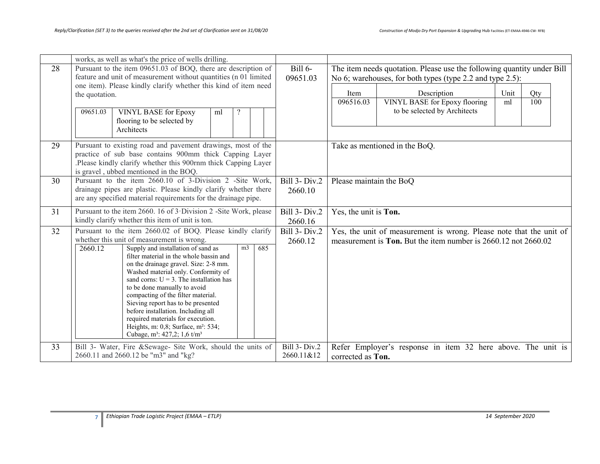|    | works, as well as what's the price of wells drilling.                                                                       |                                    |                                                                                   |
|----|-----------------------------------------------------------------------------------------------------------------------------|------------------------------------|-----------------------------------------------------------------------------------|
| 28 | Pursuant to the item 09651.03 of BOQ, there are description of                                                              | Bill 6-                            | The item needs quotation. Please use the following quantity under Bill            |
|    | feature and unit of measurement without quantities (n 01 limited                                                            | 09651.03                           | No 6; warehouses, for both types (type 2.2 and type 2.5):                         |
|    | one item). Please kindly clarify whether this kind of item need                                                             |                                    |                                                                                   |
|    | the quotation.                                                                                                              |                                    | Description<br>Unit<br>Item<br>Qty<br>096516.03<br>100                            |
|    |                                                                                                                             |                                    | <b>VINYL BASE for Epoxy flooring</b><br>ml<br>to be selected by Architects        |
|    | 09651.03<br><b>VINYL BASE for Epoxy</b><br>ml<br>flooring to be selected by                                                 |                                    |                                                                                   |
|    | Architects                                                                                                                  |                                    |                                                                                   |
|    |                                                                                                                             |                                    |                                                                                   |
| 29 | Pursuant to existing road and pavement drawings, most of the                                                                |                                    | Take as mentioned in the BoQ.                                                     |
|    | practice of sub base contains 900mm thick Capping Layer                                                                     |                                    |                                                                                   |
|    | Please kindly clarify whether this 900rnm thick Capping Layer.                                                              |                                    |                                                                                   |
|    | is gravel, ubbed mentioned in the BOQ.                                                                                      |                                    |                                                                                   |
| 30 | Pursuant to the item 2660.10 of 3-Division 2 -Site Work,<br>drainage pipes are plastic. Please kindly clarify whether there | <b>Bill 3- Div.2</b>               | Please maintain the BoQ                                                           |
|    | are any specified material requirements for the drainage pipe.                                                              | 2660.10                            |                                                                                   |
|    |                                                                                                                             |                                    |                                                                                   |
| 31 | Pursuant to the item 2660. 16 of 3 Division 2 -Site Work, please                                                            | Bill 3- Div.2                      | Yes, the unit is Ton.                                                             |
|    | kindly clarify whether this item of unit is ton.                                                                            | 2660.16                            |                                                                                   |
| 32 | Pursuant to the item 2660.02 of BOQ. Please kindly clarify                                                                  | <b>Bill 3- Div.2</b>               | Yes, the unit of measurement is wrong. Please note that the unit of               |
|    | whether this unit of measurement is wrong.<br>685<br>2660.12<br>Supply and installation of sand as<br>m <sub>3</sub>        | 2660.12                            | measurement is <b>Ton.</b> But the item number is 2660.12 not 2660.02             |
|    | filter material in the whole bassin and                                                                                     |                                    |                                                                                   |
|    | on the drainage gravel. Size: 2-8 mm.                                                                                       |                                    |                                                                                   |
|    | Washed material only. Conformity of                                                                                         |                                    |                                                                                   |
|    | sand corns: $U = 3$ . The installation has                                                                                  |                                    |                                                                                   |
|    | to be done manually to avoid<br>compacting of the filter material.                                                          |                                    |                                                                                   |
|    | Sieving report has to be presented                                                                                          |                                    |                                                                                   |
|    | before installation. Including all                                                                                          |                                    |                                                                                   |
|    | required materials for execution.                                                                                           |                                    |                                                                                   |
|    | Heights, m: 0,8; Surface, m <sup>2</sup> : 534;<br>Cubage, $m^3$ : 427,2; 1,6 t/m <sup>3</sup>                              |                                    |                                                                                   |
|    |                                                                                                                             |                                    |                                                                                   |
| 33 | Bill 3- Water, Fire &Sewage- Site Work, should the units of                                                                 | <b>Bill 3- Div.2</b><br>2660.11&12 | Refer Employer's response in item 32 here above. The unit is<br>corrected as Ton. |
|    | 2660.11 and 2660.12 be "m3" and "kg?                                                                                        |                                    |                                                                                   |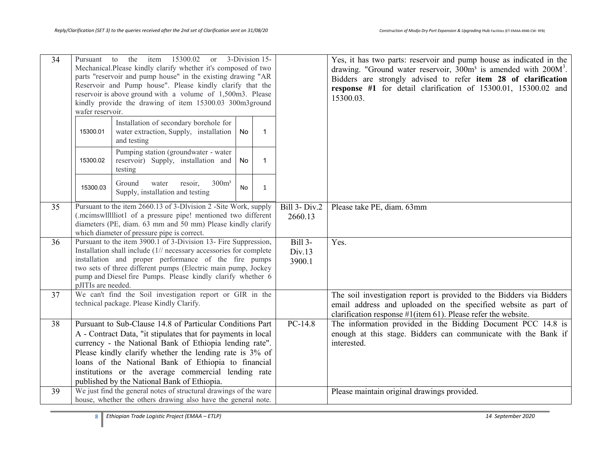| $\overline{34}$ | the<br>15300.02<br>3-Division 15-<br>item<br>Pursuant<br>to<br><b>or</b><br>Mechanical.Please kindly clarify whether it's composed of two<br>parts "reservoir and pump house" in the existing drawing "AR<br>Reservoir and Pump house". Please kindly clarify that the<br>reservoir is above ground with a volume of 1,500m3. Please<br>kindly provide the drawing of item 15300.03 300m3ground              |                                                                                                                                    |    |             |                                    | Yes, it has two parts: reservoir and pump house as indicated in the<br>drawing. "Ground water reservoir, $300m^3$ is amended with $200M^3$ .<br>Bidders are strongly advised to refer item 28 of clarification<br>response #1 for detail clarification of 15300.01, 15300.02 and<br>15300.03. |
|-----------------|--------------------------------------------------------------------------------------------------------------------------------------------------------------------------------------------------------------------------------------------------------------------------------------------------------------------------------------------------------------------------------------------------------------|------------------------------------------------------------------------------------------------------------------------------------|----|-------------|------------------------------------|-----------------------------------------------------------------------------------------------------------------------------------------------------------------------------------------------------------------------------------------------------------------------------------------------|
|                 | wafer reservoir.                                                                                                                                                                                                                                                                                                                                                                                             |                                                                                                                                    |    |             |                                    |                                                                                                                                                                                                                                                                                               |
|                 | 15300.01                                                                                                                                                                                                                                                                                                                                                                                                     | Installation of secondary borehole for<br>water extraction, Supply, installation<br>and testing                                    | No | 1           |                                    |                                                                                                                                                                                                                                                                                               |
|                 | 15300.02                                                                                                                                                                                                                                                                                                                                                                                                     | Pumping station (groundwater - water<br>reservoir) Supply, installation and<br>testing                                             | No | $\mathbf 1$ |                                    |                                                                                                                                                                                                                                                                                               |
|                 | 15300.03                                                                                                                                                                                                                                                                                                                                                                                                     | 300m <sup>3</sup><br>Ground<br>water<br>resoir,<br>Supply, installation and testing                                                | No | 1           |                                    |                                                                                                                                                                                                                                                                                               |
| 35              | Pursuant to the item 2660.13 of 3-Dlvision 2 -Site Work, supply<br>(.mcimswllllliot1 of a pressure pipe! mentioned two different<br>diameters (PE, diam. 63 mm and 50 mm) Please kindly clarify<br>which diameter of pressure pipe is correct.                                                                                                                                                               |                                                                                                                                    |    |             | <b>Bill 3- Div.2</b><br>2660.13    | Please take PE, diam. 63mm                                                                                                                                                                                                                                                                    |
| 36              | Pursuant to the item 3900.1 of 3-Division 13- Fire Suppression,<br>Installation shall include (1// necessary accessories for complete<br>installation and proper performance of the fire pumps<br>two sets of three different pumps (Electric main pump, Jockey<br>pump and Diesel fire Pumps. Please kindly clarify whether 6<br>pJITIs are needed.                                                         |                                                                                                                                    |    |             | <b>Bill 3-</b><br>Div.13<br>3900.1 | Yes.                                                                                                                                                                                                                                                                                          |
| 37              | We can't find the Soil investigation report or GIR in the<br>technical package. Please Kindly Clarify.                                                                                                                                                                                                                                                                                                       |                                                                                                                                    |    |             |                                    | The soil investigation report is provided to the Bidders via Bidders<br>email address and uploaded on the specified website as part of<br>clarification response $\#1$ (item 61). Please refer the website.                                                                                   |
| 38              | Pursuant to Sub-Clause 14.8 of Particular Conditions Part<br>A - Contract Data, "it stipulates that for payments in local<br>currency - the National Bank of Ethiopia lending rate".<br>Please kindly clarify whether the lending rate is 3% of<br>loans of the National Bank of Ethiopia to financial<br>institutions or the average commercial lending rate<br>published by the National Bank of Ethiopia. |                                                                                                                                    |    |             | $PC-14.8$                          | The information provided in the Bidding Document PCC 14.8 is<br>enough at this stage. Bidders can communicate with the Bank if<br>interested.                                                                                                                                                 |
| 39              |                                                                                                                                                                                                                                                                                                                                                                                                              | We just find the general notes of structural drawings of the ware<br>house, whether the others drawing also have the general note. |    |             |                                    | Please maintain original drawings provided.                                                                                                                                                                                                                                                   |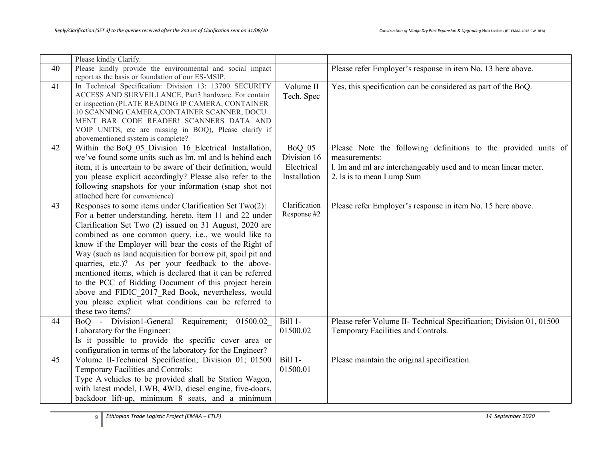|    | Please kindly Clarify.                                       |               |                                                                     |
|----|--------------------------------------------------------------|---------------|---------------------------------------------------------------------|
| 40 | Please kindly provide the environmental and social impact    |               | Please refer Employer's response in item No. 13 here above.         |
|    | report as the basis or foundation of our ES-MSIP.            |               |                                                                     |
| 41 | In Technical Specification: Division 13: 13700 SECURITY      | Volume II     | Yes, this specification can be considered as part of the BoQ.       |
|    | ACCESS AND SURVEILLANCE, Part3 hardware. For contain         | Tech. Spec    |                                                                     |
|    | er inspection (PLATE READING IP CAMERA, CONTAINER            |               |                                                                     |
|    | 10 SCANNING CAMERA, CONTAINER SCANNER, DOCU                  |               |                                                                     |
|    | MENT BAR CODE READER! SCANNERS DATA AND                      |               |                                                                     |
|    | VOIP UNITS, etc are missing in BOQ), Please clarify if       |               |                                                                     |
|    | abovementioned system is complete?                           |               |                                                                     |
| 42 | Within the BoQ_05_Division 16_Electrical Installation,       | BoQ 05        | Please Note the following definitions to the provided units of      |
|    | we've found some units such as lm, ml and ls behind each     | Division 16   | measurements:                                                       |
|    | item, it is uncertain to be aware of their definition, would | Electrical    | 1. Im and ml are interchangeably used and to mean linear meter.     |
|    | you please explicit accordingly? Please also refer to the    | Installation  | 2. Is is to mean Lump Sum                                           |
|    | following snapshots for your information (snap shot not      |               |                                                                     |
|    | attached here for convenience)                               |               |                                                                     |
| 43 | Responses to some items under Clarification Set Two(2):      | Clarification | Please refer Employer's response in item No. 15 here above.         |
|    | For a better understanding, hereto, item 11 and 22 under     | Response #2   |                                                                     |
|    | Clarification Set Two (2) issued on 31 August, 2020 are      |               |                                                                     |
|    | combined as one common query, i.e., we would like to         |               |                                                                     |
|    | know if the Employer will bear the costs of the Right of     |               |                                                                     |
|    | Way (such as land acquisition for borrow pit, spoil pit and  |               |                                                                     |
|    | quarries, etc.)? As per your feedback to the above-          |               |                                                                     |
|    | mentioned items, which is declared that it can be referred   |               |                                                                     |
|    | to the PCC of Bidding Document of this project herein        |               |                                                                     |
|    | above and FIDIC 2017 Red Book, nevertheless, would           |               |                                                                     |
|    | you please explicit what conditions can be referred to       |               |                                                                     |
|    | these two items?                                             |               |                                                                     |
| 44 | BoQ - Division1-General Requirement; 01500.02                | Bill 1-       | Please refer Volume II- Technical Specification; Division 01, 01500 |
|    | Laboratory for the Engineer:                                 | 01500.02      | Temporary Facilities and Controls.                                  |
|    | Is it possible to provide the specific cover area or         |               |                                                                     |
|    | configuration in terms of the laboratory for the Engineer?   |               |                                                                     |
| 45 | Volume II-Technical Specification; Division 01; 01500        | Bill 1-       | Please maintain the original specification.                         |
|    | Temporary Facilities and Controls:                           | 01500.01      |                                                                     |
|    | Type A vehicles to be provided shall be Station Wagon,       |               |                                                                     |
|    | with latest model, LWB, 4WD, diesel engine, five-doors,      |               |                                                                     |
|    | backdoor lift-up, minimum 8 seats, and a minimum             |               |                                                                     |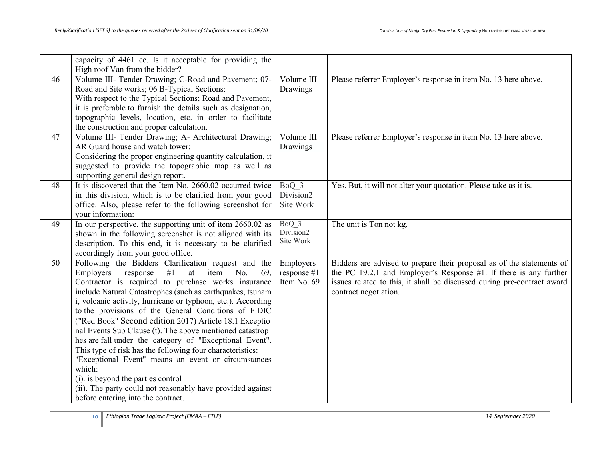|    | capacity of 4461 cc. Is it acceptable for providing the<br>High roof Van from the bidder?                                                                                                                                                                                                                                                                                                                                                                                                                                                                                                                                                                                                                                                                                                                          |                                         |                                                                                                                                                                                                                                                   |
|----|--------------------------------------------------------------------------------------------------------------------------------------------------------------------------------------------------------------------------------------------------------------------------------------------------------------------------------------------------------------------------------------------------------------------------------------------------------------------------------------------------------------------------------------------------------------------------------------------------------------------------------------------------------------------------------------------------------------------------------------------------------------------------------------------------------------------|-----------------------------------------|---------------------------------------------------------------------------------------------------------------------------------------------------------------------------------------------------------------------------------------------------|
| 46 | Volume III- Tender Drawing; C-Road and Pavement; 07-<br>Road and Site works; 06 B-Typical Sections:<br>With respect to the Typical Sections; Road and Pavement,<br>it is preferable to furnish the details such as designation,<br>topographic levels, location, etc. in order to facilitate<br>the construction and proper calculation.                                                                                                                                                                                                                                                                                                                                                                                                                                                                           | Volume III<br>Drawings                  | Please referrer Employer's response in item No. 13 here above.                                                                                                                                                                                    |
| 47 | Volume III- Tender Drawing; A- Architectural Drawing;<br>AR Guard house and watch tower:<br>Considering the proper engineering quantity calculation, it<br>suggested to provide the topographic map as well as<br>supporting general design report.                                                                                                                                                                                                                                                                                                                                                                                                                                                                                                                                                                | Volume III<br>Drawings                  | Please referrer Employer's response in item No. 13 here above.                                                                                                                                                                                    |
| 48 | It is discovered that the Item No. 2660.02 occurred twice<br>in this division, which is to be clarified from your good<br>office. Also, please refer to the following screenshot for<br>vour information:                                                                                                                                                                                                                                                                                                                                                                                                                                                                                                                                                                                                          | BoQ 3<br>Division2<br>Site Work         | Yes. But, it will not alter your quotation. Please take as it is.                                                                                                                                                                                 |
| 49 | In our perspective, the supporting unit of item 2660.02 as<br>shown in the following screenshot is not aligned with its<br>description. To this end, it is necessary to be clarified<br>accordingly from your good office.                                                                                                                                                                                                                                                                                                                                                                                                                                                                                                                                                                                         | BoQ 3<br>Division2<br>Site Work         | The unit is Ton not kg.                                                                                                                                                                                                                           |
| 50 | Following the Bidders Clarification request and the<br>#1<br>Employers<br>response<br>item<br>at<br>No.<br>69.<br>Contractor is required to purchase works insurance<br>include Natural Catastrophes (such as earthquakes, tsunam<br>i, volcanic activity, hurricane or typhoon, etc.). According<br>to the provisions of the General Conditions of FIDIC<br>("Red Book" Second edition 2017) Article 18.1 Exceptio<br>nal Events Sub Clause (t). The above mentioned catastrop<br>hes are fall under the category of "Exceptional Event".<br>This type of risk has the following four characteristics:<br>"Exceptional Event" means an event or circumstances<br>which:<br>(i). is beyond the parties control<br>(ii). The party could not reasonably have provided against<br>before entering into the contract. | Employers<br>response #1<br>Item No. 69 | Bidders are advised to prepare their proposal as of the statements of<br>the PC 19.2.1 and Employer's Response $#1$ . If there is any further<br>issues related to this, it shall be discussed during pre-contract award<br>contract negotiation. |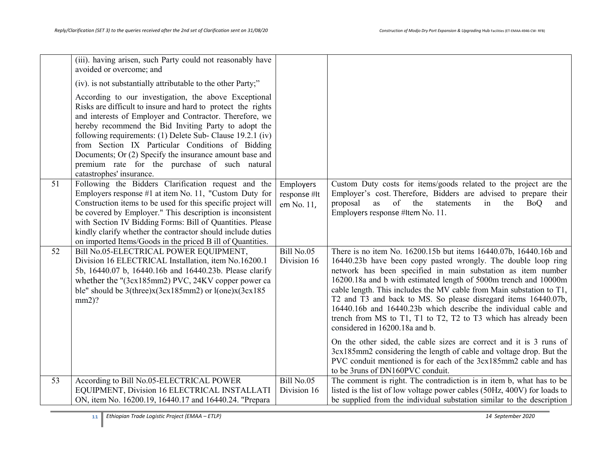|    | (iii). having arisen, such Party could not reasonably have<br>avoided or overcome; and                                                                                                                                                                                                                                                                                                                                                                                                             |                            |                                                                                                                                              |
|----|----------------------------------------------------------------------------------------------------------------------------------------------------------------------------------------------------------------------------------------------------------------------------------------------------------------------------------------------------------------------------------------------------------------------------------------------------------------------------------------------------|----------------------------|----------------------------------------------------------------------------------------------------------------------------------------------|
|    | (iv). is not substantially attributable to the other Party;"                                                                                                                                                                                                                                                                                                                                                                                                                                       |                            |                                                                                                                                              |
|    | According to our investigation, the above Exceptional<br>Risks are difficult to insure and hard to protect the rights<br>and interests of Employer and Contractor. Therefore, we<br>hereby recommend the Bid Inviting Party to adopt the<br>following requirements: (1) Delete Sub- Clause 19.2.1 (iv)<br>from Section IX Particular Conditions of Bidding<br>Documents; Or (2) Specify the insurance amount base and<br>premium rate for the purchase of such natural<br>catastrophes' insurance. |                            |                                                                                                                                              |
| 51 | Following the Bidders Clarification request and the                                                                                                                                                                                                                                                                                                                                                                                                                                                | Employers                  | Custom Duty costs for items/goods related to the project are the                                                                             |
|    | Employers response $#1$ at item No. 11, "Custom Duty for<br>Construction items to be used for this specific project will                                                                                                                                                                                                                                                                                                                                                                           | response #It<br>em No. 11, | Employer's cost. Therefore, Bidders are advised to prepare their<br>proposal<br>as<br>of the<br>statements<br>in<br>the<br><b>BoQ</b><br>and |
|    | be covered by Employer." This description is inconsistent                                                                                                                                                                                                                                                                                                                                                                                                                                          |                            | Employers response #Item No. 11.                                                                                                             |
|    | with Section IV Bidding Forms: Bill of Quantities. Please                                                                                                                                                                                                                                                                                                                                                                                                                                          |                            |                                                                                                                                              |
|    | kindly clarify whether the contractor should include duties<br>on imported Items/Goods in the priced B ill of Quantities.                                                                                                                                                                                                                                                                                                                                                                          |                            |                                                                                                                                              |
| 52 | Bill No.05-ELECTRICAL POWER EQUIPMENT,                                                                                                                                                                                                                                                                                                                                                                                                                                                             | Bill No.05                 | There is no item No. 16200.15b but items 16440.07b, 16440.16b and                                                                            |
|    | Division 16 ELECTRICAL Installation, item No.16200.1                                                                                                                                                                                                                                                                                                                                                                                                                                               | Division 16                | 16440.23b have been copy pasted wrongly. The double loop ring                                                                                |
|    | 5b, 16440.07 b, 16440.16b and 16440.23b. Please clarify                                                                                                                                                                                                                                                                                                                                                                                                                                            |                            | network has been specified in main substation as item number                                                                                 |
|    | whether the "(3cx185mm2) PVC, 24KV copper power ca<br>ble" should be $3$ (three) $x(3cx185mm2)$ or $l(one)x(3cx185mm2)$                                                                                                                                                                                                                                                                                                                                                                            |                            | 16200.18a and b with estimated length of 5000m trench and 10000m<br>cable length. This includes the MV cable from Main substation to T1,     |
|    | $mm2$ ?                                                                                                                                                                                                                                                                                                                                                                                                                                                                                            |                            | T2 and T3 and back to MS. So please disregard items 16440.07b,                                                                               |
|    |                                                                                                                                                                                                                                                                                                                                                                                                                                                                                                    |                            | 16440.16b and 16440.23b which describe the individual cable and                                                                              |
|    |                                                                                                                                                                                                                                                                                                                                                                                                                                                                                                    |                            | trench from MS to T1, T1 to T2, T2 to T3 which has already been<br>considered in 16200.18a and b.                                            |
|    |                                                                                                                                                                                                                                                                                                                                                                                                                                                                                                    |                            | On the other sided, the cable sizes are correct and it is 3 runs of                                                                          |
|    |                                                                                                                                                                                                                                                                                                                                                                                                                                                                                                    |                            | 3cx185mm2 considering the length of cable and voltage drop. But the                                                                          |
|    |                                                                                                                                                                                                                                                                                                                                                                                                                                                                                                    |                            | PVC conduit mentioned is for each of the 3cx185mm2 cable and has<br>to be 3runs of DN160PVC conduit.                                         |
| 53 | According to Bill No.05-ELECTRICAL POWER                                                                                                                                                                                                                                                                                                                                                                                                                                                           | Bill No.05                 | The comment is right. The contradiction is in item b, what has to be                                                                         |
|    | EQUIPMENT, Division 16 ELECTRICAL INSTALLATI                                                                                                                                                                                                                                                                                                                                                                                                                                                       | Division 16                | listed is the list of low voltage power cables (50Hz, 400V) for loads to                                                                     |
|    | ON, item No. 16200.19, 16440.17 and 16440.24. "Prepara                                                                                                                                                                                                                                                                                                                                                                                                                                             |                            | be supplied from the individual substation similar to the description                                                                        |